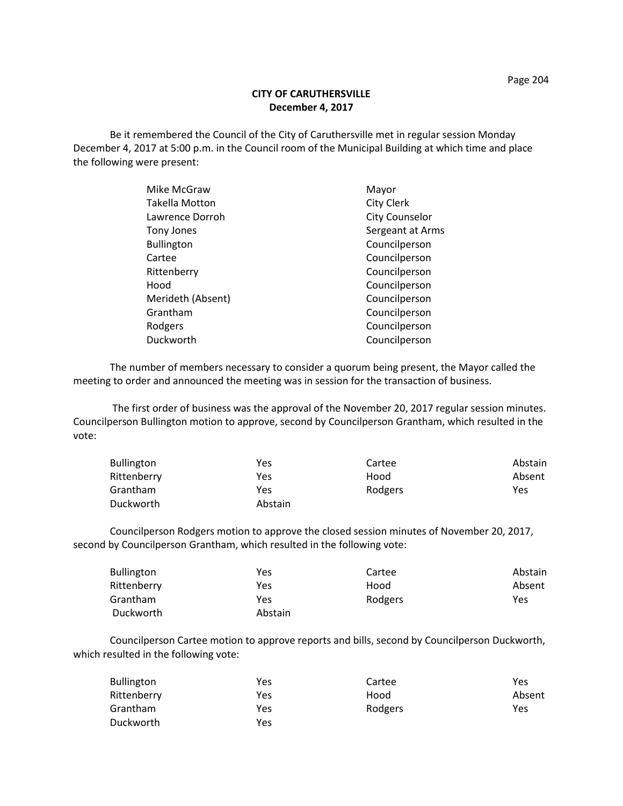## **CITY OF CARUTHERSVILLE December 4, 2017**

Be it remembered the Council of the City of Caruthersville met in regular session Monday December 4, 2017 at 5:00 p.m. in the Council room of the Municipal Building at which time and place the following were present:

| Mike McGraw           | Mayor                 |
|-----------------------|-----------------------|
| <b>Takella Motton</b> | <b>City Clerk</b>     |
| Lawrence Dorroh       | <b>City Counselor</b> |
| Tony Jones            | Sergeant at Arms      |
| <b>Bullington</b>     | Councilperson         |
| Cartee                | Councilperson         |
| Rittenberry           | Councilperson         |
| Hood                  | Councilperson         |
| Merideth (Absent)     | Councilperson         |
| Grantham              | Councilperson         |
| Rodgers               | Councilperson         |
| Duckworth             | Councilperson         |

The number of members necessary to consider a quorum being present, the Mayor called the meeting to order and announced the meeting was in session for the transaction of business.

The first order of business was the approval of the November 20, 2017 regular session minutes. Councilperson Bullington motion to approve, second by Councilperson Grantham, which resulted in the vote:

| <b>Bullington</b> | Yes     | Cartee  | Abstain |
|-------------------|---------|---------|---------|
| Rittenberry       | Yes     | Hood    | Absent  |
| Grantham          | Yes     | Rodgers | Yes     |
| Duckworth         | Abstain |         |         |

Councilperson Rodgers motion to approve the closed session minutes of November 20, 2017, second by Councilperson Grantham, which resulted in the following vote:

| <b>Bullington</b> | Yes     | Cartee  | Abstain |
|-------------------|---------|---------|---------|
| Rittenberry       | Yes     | Hood    | Absent  |
| Grantham          | Yes     | Rodgers | Yes     |
| Duckworth         | Abstain |         |         |

Councilperson Cartee motion to approve reports and bills, second by Councilperson Duckworth, which resulted in the following vote:

| <b>Bullington</b> | Yes | Cartee  | Yes    |
|-------------------|-----|---------|--------|
| Rittenberry       | Yes | Hood    | Absent |
| Grantham          | Yes | Rodgers | Yes    |
| Duckworth         | Yes |         |        |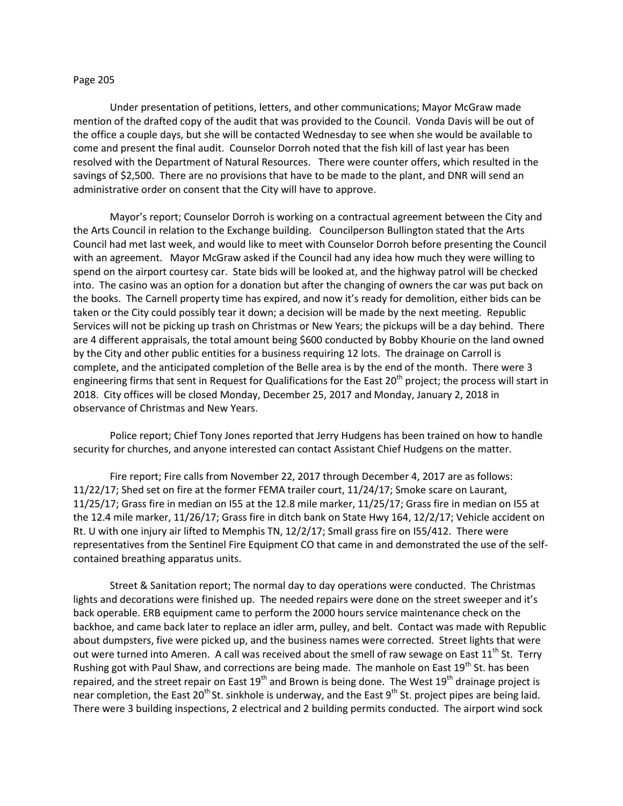## Page 205

Under presentation of petitions, letters, and other communications; Mayor McGraw made mention of the drafted copy of the audit that was provided to the Council. Vonda Davis will be out of the office a couple days, but she will be contacted Wednesday to see when she would be available to come and present the final audit. Counselor Dorroh noted that the fish kill of last year has been resolved with the Department of Natural Resources. There were counter offers, which resulted in the savings of \$2,500. There are no provisions that have to be made to the plant, and DNR will send an administrative order on consent that the City will have to approve.

Mayor's report; Counselor Dorroh is working on a contractual agreement between the City and the Arts Council in relation to the Exchange building. Councilperson Bullington stated that the Arts Council had met last week, and would like to meet with Counselor Dorroh before presenting the Council with an agreement. Mayor McGraw asked if the Council had any idea how much they were willing to spend on the airport courtesy car. State bids will be looked at, and the highway patrol will be checked into. The casino was an option for a donation but after the changing of owners the car was put back on the books. The Carnell property time has expired, and now it's ready for demolition, either bids can be taken or the City could possibly tear it down; a decision will be made by the next meeting. Republic Services will not be picking up trash on Christmas or New Years; the pickups will be a day behind. There are 4 different appraisals, the total amount being \$600 conducted by Bobby Khourie on the land owned by the City and other public entities for a business requiring 12 lots. The drainage on Carroll is complete, and the anticipated completion of the Belle area is by the end of the month. There were 3 engineering firms that sent in Request for Qualifications for the East 20<sup>th</sup> project; the process will start in 2018. City offices will be closed Monday, December 25, 2017 and Monday, January 2, 2018 in observance of Christmas and New Years.

Police report; Chief Tony Jones reported that Jerry Hudgens has been trained on how to handle security for churches, and anyone interested can contact Assistant Chief Hudgens on the matter.

Fire report; Fire calls from November 22, 2017 through December 4, 2017 are as follows: 11/22/17; Shed set on fire at the former FEMA trailer court, 11/24/17; Smoke scare on Laurant, 11/25/17; Grass fire in median on I55 at the 12.8 mile marker, 11/25/17; Grass fire in median on I55 at the 12.4 mile marker, 11/26/17; Grass fire in ditch bank on State Hwy 164, 12/2/17; Vehicle accident on Rt. U with one injury air lifted to Memphis TN, 12/2/17; Small grass fire on I55/412. There were representatives from the Sentinel Fire Equipment CO that came in and demonstrated the use of the selfcontained breathing apparatus units.

Street & Sanitation report; The normal day to day operations were conducted. The Christmas lights and decorations were finished up. The needed repairs were done on the street sweeper and it's back operable. ERB equipment came to perform the 2000 hours service maintenance check on the backhoe, and came back later to replace an idler arm, pulley, and belt. Contact was made with Republic about dumpsters, five were picked up, and the business names were corrected. Street lights that were out were turned into Ameren. A call was received about the smell of raw sewage on East 11<sup>th</sup> St. Terry Rushing got with Paul Shaw, and corrections are being made. The manhole on East 19<sup>th</sup> St. has been repaired, and the street repair on East  $19<sup>th</sup>$  and Brown is being done. The West  $19<sup>th</sup>$  drainage project is near completion, the East 20<sup>th</sup> St. sinkhole is underway, and the East 9<sup>th</sup> St. project pipes are being laid. There were 3 building inspections, 2 electrical and 2 building permits conducted. The airport wind sock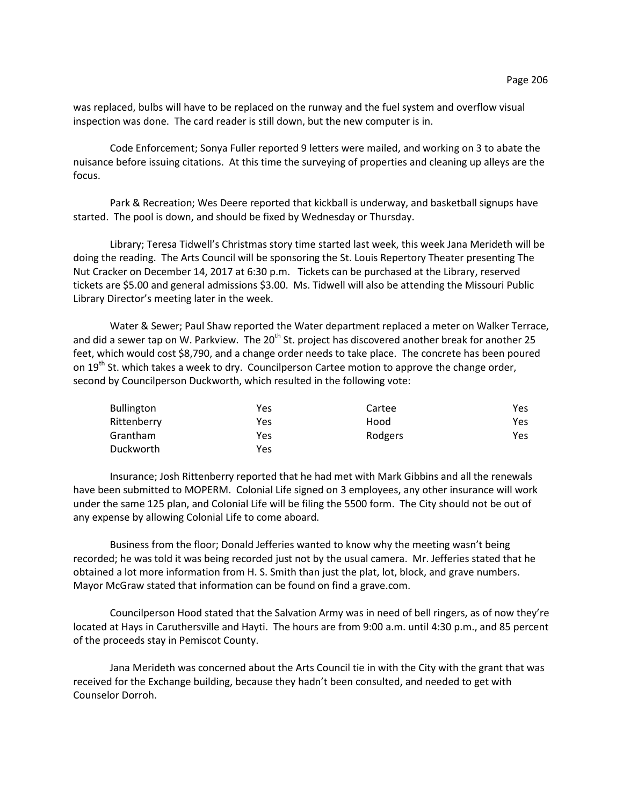was replaced, bulbs will have to be replaced on the runway and the fuel system and overflow visual inspection was done. The card reader is still down, but the new computer is in.

Code Enforcement; Sonya Fuller reported 9 letters were mailed, and working on 3 to abate the nuisance before issuing citations. At this time the surveying of properties and cleaning up alleys are the focus.

Park & Recreation; Wes Deere reported that kickball is underway, and basketball signups have started. The pool is down, and should be fixed by Wednesday or Thursday.

Library; Teresa Tidwell's Christmas story time started last week, this week Jana Merideth will be doing the reading. The Arts Council will be sponsoring the St. Louis Repertory Theater presenting The Nut Cracker on December 14, 2017 at 6:30 p.m. Tickets can be purchased at the Library, reserved tickets are \$5.00 and general admissions \$3.00. Ms. Tidwell will also be attending the Missouri Public Library Director's meeting later in the week.

Water & Sewer; Paul Shaw reported the Water department replaced a meter on Walker Terrace, and did a sewer tap on W. Parkview. The  $20<sup>th</sup>$  St. project has discovered another break for another 25 feet, which would cost \$8,790, and a change order needs to take place. The concrete has been poured on  $19<sup>th</sup>$  St. which takes a week to dry. Councilperson Cartee motion to approve the change order, second by Councilperson Duckworth, which resulted in the following vote:

| <b>Bullington</b> | Yes | Cartee  | Yes. |
|-------------------|-----|---------|------|
| Rittenberry       | Yes | Hood    | Yes. |
| Grantham          | Yes | Rodgers | Yes. |
| Duckworth         | Yes |         |      |

Insurance; Josh Rittenberry reported that he had met with Mark Gibbins and all the renewals have been submitted to MOPERM. Colonial Life signed on 3 employees, any other insurance will work under the same 125 plan, and Colonial Life will be filing the 5500 form. The City should not be out of any expense by allowing Colonial Life to come aboard.

Business from the floor; Donald Jefferies wanted to know why the meeting wasn't being recorded; he was told it was being recorded just not by the usual camera. Mr. Jefferies stated that he obtained a lot more information from H. S. Smith than just the plat, lot, block, and grave numbers. Mayor McGraw stated that information can be found on find a grave.com.

Councilperson Hood stated that the Salvation Army was in need of bell ringers, as of now they're located at Hays in Caruthersville and Hayti. The hours are from 9:00 a.m. until 4:30 p.m., and 85 percent of the proceeds stay in Pemiscot County.

Jana Merideth was concerned about the Arts Council tie in with the City with the grant that was received for the Exchange building, because they hadn't been consulted, and needed to get with Counselor Dorroh.